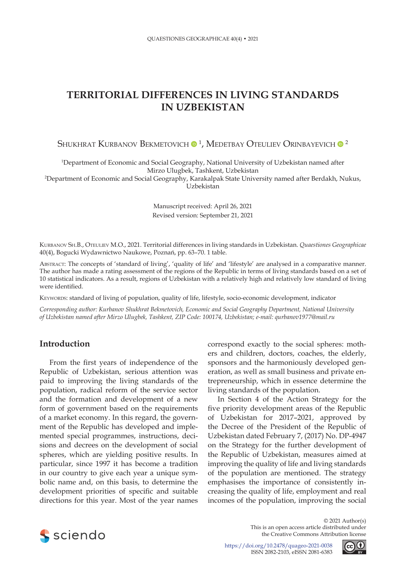# **TERRITORIAL DIFFERENCES IN LIVING STANDARDS IN UZBEKISTAN**

Shukhrat Kurbanov Bekmetovich  $\mathbf{0}^{\,1}$ , Medetbay Oteuliev Orinbayevich  $\mathbf{0}^{\,2}$ 

1 Department of Economic and Social Geography, National University of Uzbekistan named after Mirzo Ulugbek, Tashkent, Uzbekistan

2 Department of Economic and Social Geography, Karakalpak State University named after Berdakh, Nukus, Uzbekistan

> Manuscript received: April 26, 2021 Revised version: September 21, 2021

Kurbanov Sh.B., Oteuliev M.O., 2021. Territorial differences in living standards in Uzbekistan. *Quaestiones Geographicae* 40(4), Bogucki Wydawnictwo Naukowe, Poznań, pp. 63–70. 1 table.

Abstract: The concepts of 'standard of living', 'quality of life' and 'lifestyle' are analysed in a comparative manner. The author has made a rating assessment of the regions of the Republic in terms of living standards based on a set of 10 statistical indicators. As a result, regions of Uzbekistan with a relatively high and relatively low standard of living were identified.

KEYWORDS: standard of living of population, quality of life, lifestyle, socio-economic development, indicator

*Corresponding author: Kurbanov Shukhrat Bekmetovich, Economic and Social Geography Department, National University of Uzbekistan named after Mirzo Ulugbek, Tashkent, ZIP Code: 100174, Uzbekistan; e-mail: qurbanov1977@mail.ru*

# **Introduction**

From the first years of independence of the Republic of Uzbekistan, serious attention was paid to improving the living standards of the population, radical reform of the service sector and the formation and development of a new form of government based on the requirements of a market economy. In this regard, the government of the Republic has developed and implemented special programmes, instructions, decisions and decrees on the development of social spheres, which are yielding positive results. In particular, since 1997 it has become a tradition in our country to give each year a unique symbolic name and, on this basis, to determine the development priorities of specific and suitable directions for this year. Most of the year names

correspond exactly to the social spheres: mothers and children, doctors, coaches, the elderly, sponsors and the harmoniously developed generation, as well as small business and private entrepreneurship, which in essence determine the living standards of the population.

In Section 4 of the Action Strategy for the five priority development areas of the Republic of Uzbekistan for 2017–2021, approved by the Decree of the President of the Republic of Uzbekistan dated February 7, (2017) No. DP-4947 on the Strategy for the further development of the Republic of Uzbekistan, measures aimed at improving the quality of life and living standards of the population are mentioned. The strategy emphasises the importance of consistently increasing the quality of life, employment and real incomes of the population, improving the social



© 2021 Author(s) This is an open access article distributed under the Creative Commons Attribution license

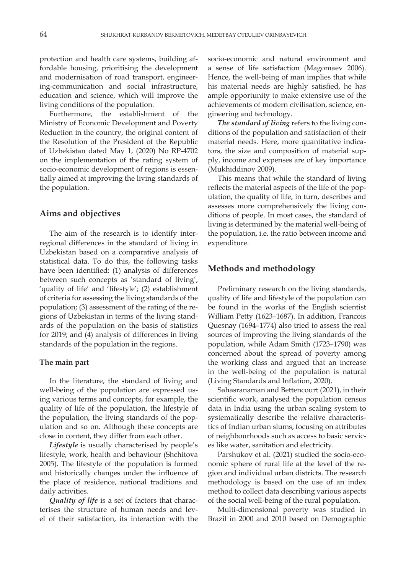protection and health care systems, building affordable housing, prioritising the development and modernisation of road transport, engineering-communication and social infrastructure, education and science, which will improve the living conditions of the population.

Furthermore, the establishment of the Ministry of Economic Development and Poverty Reduction in the country, the original content of the Resolution of the President of the Republic of Uzbekistan dated May 1, (2020) No RP-4702 on the implementation of the rating system of socio-economic development of regions is essentially aimed at improving the living standards of the population.

## **Aims and objectives**

The aim of the research is to identify interregional differences in the standard of living in Uzbekistan based on a comparative analysis of statistical data. To do this, the following tasks have been identified: (1) analysis of differences between such concepts as 'standard of living', 'quality of life' and 'lifestyle'; (2) establishment of criteria for assessing the living standards of the population; (3) assessment of the rating of the regions of Uzbekistan in terms of the living standards of the population on the basis of statistics for 2019; and (4) analysis of differences in living standards of the population in the regions.

### **The main part**

In the literature, the standard of living and well-being of the population are expressed using various terms and concepts, for example, the quality of life of the population, the lifestyle of the population, the living standards of the population and so on. Although these concepts are close in content, they differ from each other.

*Lifestyle* is usually characterised by people's lifestyle, work, health and behaviour (Shchitova 2005). The lifestyle of the population is formed and historically changes under the influence of the place of residence, national traditions and daily activities.

*Quality of life* is a set of factors that characterises the structure of human needs and level of their satisfaction, its interaction with the

socio-economic and natural environment and a sense of life satisfaction (Magomaev 2006). Hence, the well-being of man implies that while his material needs are highly satisfied, he has ample opportunity to make extensive use of the achievements of modern civilisation, science, engineering and technology.

*The standard of living* refers to the living conditions of the population and satisfaction of their material needs. Here, more quantitative indicators, the size and composition of material supply, income and expenses are of key importance (Mukhiddinov 2009).

This means that while the standard of living reflects the material aspects of the life of the population, the quality of life, in turn, describes and assesses more comprehensively the living conditions of people. In most cases, the standard of living is determined by the material well-being of the population, i.e. the ratio between income and expenditure.

## **Methods and methodology**

Preliminary research on the living standards, quality of life and lifestyle of the population can be found in the works of the English scientist William Petty (1623–1687). In addition, Francois Quesnay (1694–1774) also tried to assess the real sources of improving the living standards of the population, while Adam Smith (1723–1790) was concerned about the spread of poverty among the working class and argued that an increase in the well-being of the population is natural (Living Standards and Inflation, 2020).

Sahasranaman and Bettencourt (2021), in their scientific work, analysed the population census data in India using the urban scaling system to systematically describe the relative characteristics of Indian urban slums, focusing on attributes of neighbourhoods such as access to basic services like water, sanitation and electricity.

Parshukov et al. (2021) studied the socio-economic sphere of rural life at the level of the region and individual urban districts. The research methodology is based on the use of an index method to collect data describing various aspects of the social well-being of the rural population.

Multi-dimensional poverty was studied in Brazil in 2000 and 2010 based on Demographic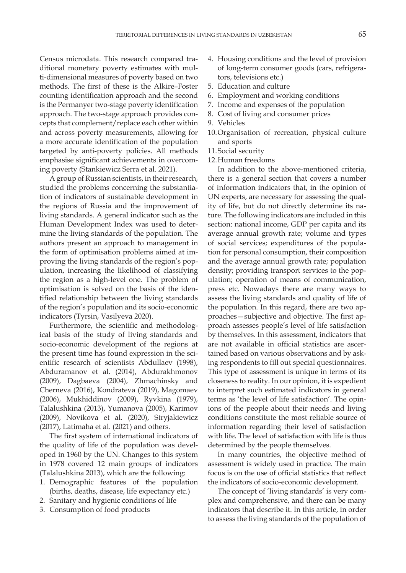Census microdata. This research compared traditional monetary poverty estimates with multi-dimensional measures of poverty based on two methods. The first of these is the Alkire–Foster counting identification approach and the second is the Permanyer two-stage poverty identification approach. The two-stage approach provides concepts that complement/replace each other within and across poverty measurements, allowing for a more accurate identification of the population targeted by anti-poverty policies. All methods emphasise significant achievements in overcoming poverty (Stankiewicz Serra et al. 2021).

A group of Russian scientists, in their research, studied the problems concerning the substantiation of indicators of sustainable development in the regions of Russia and the improvement of living standards. A general indicator such as the Human Development Index was used to determine the living standards of the population. The authors present an approach to management in the form of optimisation problems aimed at improving the living standards of the region's population, increasing the likelihood of classifying the region as a high-level one. The problem of optimisation is solved on the basis of the identified relationship between the living standards of the region's population and its socio-economic indicators (Tyrsin, Vasilyeva 2020).

Furthermore, the scientific and methodological basis of the study of living standards and socio-economic development of the regions at the present time has found expression in the scientific research of scientists Abdullaev (1998), Abduramanov et al. (2014), Abdurakhmonov (2009), Dagbaeva (2004), Zhmachinsky and Cherneva (2016), Kondrateva (2019), Magomaev (2006), Mukhiddinov (2009), Ryvkina (1979), Talalushkina (2013), Yumanova (2005), Karimov (2009), Novikova et al. (2020), Stryjakiewicz (2017), Latimaha et al. (2021) and others.

The first system of international indicators of the quality of life of the population was developed in 1960 by the UN. Changes to this system in 1978 covered 12 main groups of indicators (Talalushkina 2013), which are the following:

- 1. Demographic features of the population (births, deaths, disease, life expectancy etc.)
- 2. Sanitary and hygienic conditions of life
- 3. Consumption of food products
- 4. Housing conditions and the level of provision of long-term consumer goods (cars, refrigerators, televisions etc.)
- 5. Education and culture
- 6. Employment and working conditions
- 7. Income and expenses of the population
- 8. Cost of living and consumer prices
- 9. Vehicles
- 10.Organisation of recreation, physical culture and sports
- 11.Social security
- 12.Human freedoms

In addition to the above-mentioned criteria, there is a general section that covers a number of information indicators that, in the opinion of UN experts, are necessary for assessing the quality of life, but do not directly determine its nature. The following indicators are included in this section: national income, GDP per capita and its average annual growth rate; volume and types of social services; expenditures of the population for personal consumption, their composition and the average annual growth rate; population density; providing transport services to the population; operation of means of communication, press etc. Nowadays there are many ways to assess the living standards and quality of life of the population. In this regard, there are two approaches—subjective and objective. The first approach assesses people's level of life satisfaction by themselves. In this assessment, indicators that are not available in official statistics are ascertained based on various observations and by asking respondents to fill out special questionnaires. This type of assessment is unique in terms of its closeness to reality. In our opinion, it is expedient to interpret such estimated indicators in general terms as 'the level of life satisfaction'. The opinions of the people about their needs and living conditions constitute the most reliable source of information regarding their level of satisfaction with life. The level of satisfaction with life is thus determined by the people themselves.

In many countries, the objective method of assessment is widely used in practice. The main focus is on the use of official statistics that reflect the indicators of socio-economic development.

The concept of 'living standards' is very complex and comprehensive, and there can be many indicators that describe it. In this article, in order to assess the living standards of the population of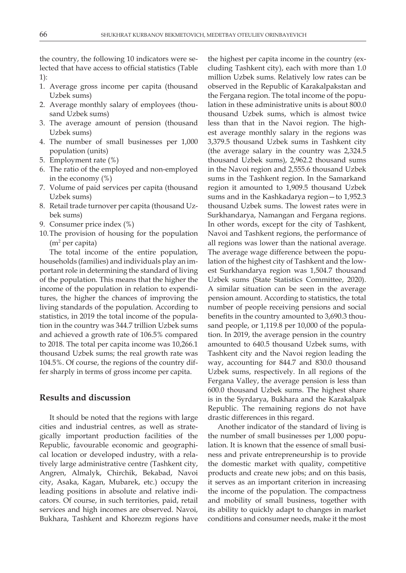the country, the following 10 indicators were selected that have access to official statistics (Table 1):

- 1. Average gross income per capita (thousand Uzbek sums)
- 2. Average monthly salary of employees (thousand Uzbek sums)
- 3. The average amount of pension (thousand Uzbek sums)
- 4. The number of small businesses per 1,000 population (units)
- 5. Employment rate (%)
- 6. The ratio of the employed and non-employed in the economy  $(\%)$
- 7. Volume of paid services per capita (thousand Uzbek sums)
- 8. Retail trade turnover per capita (thousand Uzbek sums)
- 9. Consumer price index (%)
- 10.The provision of housing for the population (m2 per capita)

The total income of the entire population, households (families) and individuals play an important role in determining the standard of living of the population. This means that the higher the income of the population in relation to expenditures, the higher the chances of improving the living standards of the population. According to statistics, in 2019 the total income of the population in the country was 344.7 trillion Uzbek sums and achieved a growth rate of 106.5% compared to 2018. The total per capita income was 10,266.1 thousand Uzbek sums; the real growth rate was 104.5%. Of course, the regions of the country differ sharply in terms of gross income per capita.

## **Results and discussion**

It should be noted that the regions with large cities and industrial centres, as well as strategically important production facilities of the Republic, favourable economic and geographical location or developed industry, with a relatively large administrative centre (Tashkent city, Angren, Almalyk, Chirchik, Bekabad, Navoi city, Asaka, Kagan, Mubarek, etc.) occupy the leading positions in absolute and relative indicators. Of course, in such territories, paid, retail services and high incomes are observed. Navoi, Bukhara, Tashkent and Khorezm regions have

the highest per capita income in the country (excluding Tashkent city), each with more than 1.0 million Uzbek sums. Relatively low rates can be observed in the Republic of Karakalpakstan and the Fergana region. The total income of the population in these administrative units is about 800.0 thousand Uzbek sums, which is almost twice less than that in the Navoi region. The highest average monthly salary in the regions was 3,379.5 thousand Uzbek sums in Tashkent city (the average salary in the country was 2,324.5 thousand Uzbek sums), 2,962.2 thousand sums in the Navoi region and 2,555.6 thousand Uzbek sums in the Tashkent region. In the Samarkand region it amounted to 1,909.5 thousand Uzbek sums and in the Kashkadarya region—to 1,952.3 thousand Uzbek sums. The lowest rates were in Surkhandarya, Namangan and Fergana regions. In other words, except for the city of Tashkent, Navoi and Tashkent regions, the performance of all regions was lower than the national average. The average wage difference between the population of the highest city of Tashkent and the lowest Surkhandarya region was 1,504.7 thousand Uzbek sums (State Statistics Committee, 2020). A similar situation can be seen in the average pension amount. According to statistics, the total number of people receiving pensions and social benefits in the country amounted to 3,690.3 thousand people, or 1,119.8 per 10,000 of the population. In 2019, the average pension in the country amounted to 640.5 thousand Uzbek sums, with Tashkent city and the Navoi region leading the way, accounting for 844.7 and 830.0 thousand Uzbek sums, respectively. In all regions of the Fergana Valley, the average pension is less than 600.0 thousand Uzbek sums. The highest share is in the Syrdarya, Bukhara and the Karakalpak Republic. The remaining regions do not have drastic differences in this regard.

Another indicator of the standard of living is the number of small businesses per 1,000 population. It is known that the essence of small business and private entrepreneurship is to provide the domestic market with quality, competitive products and create new jobs; and on this basis, it serves as an important criterion in increasing the income of the population. The compactness and mobility of small business, together with its ability to quickly adapt to changes in market conditions and consumer needs, make it the most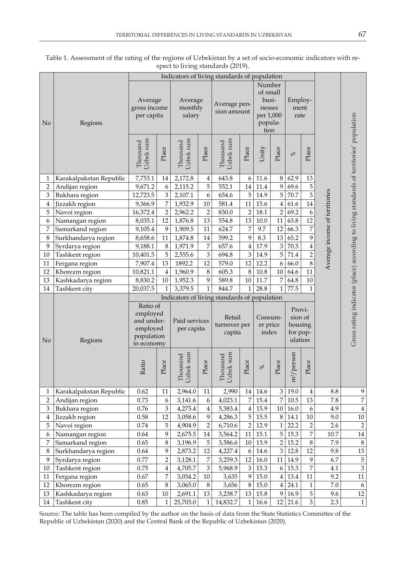|                         | Regions                             | Indicators of living standards of population                               |                         |                              |                           |                                              |                 |                                                                       |                         |                                                     |                         |                               |                                                                                         |
|-------------------------|-------------------------------------|----------------------------------------------------------------------------|-------------------------|------------------------------|---------------------------|----------------------------------------------|-----------------|-----------------------------------------------------------------------|-------------------------|-----------------------------------------------------|-------------------------|-------------------------------|-----------------------------------------------------------------------------------------|
| N <sub>o</sub>          |                                     | Average<br>gross income<br>per capita                                      |                         | Average<br>monthly<br>salary |                           | Average pen-<br>sion amount                  |                 | Number<br>of small<br>busi-<br>nesses<br>per 1,000<br>popula-<br>tion |                         | Employ-<br>ment<br>rate                             |                         |                               |                                                                                         |
|                         |                                     | Uzbek sum<br>Thousand                                                      | Place                   | Uzbek sum<br>Thousand        | Place                     | Uzbek sum<br>Thousand                        | Place           | Unity                                                                 | Place                   | $\%$                                                | Place                   |                               |                                                                                         |
| $\mathbf{1}$            | Karakalpakstan Republic             | 7,753.1                                                                    | 14                      | 2,172.8                      | $\overline{4}$            | 643.8                                        | 6               | 11.6                                                                  | 8                       | 62.9                                                | 13                      |                               |                                                                                         |
| $\overline{2}$          | Andijan region                      | 9,671.2                                                                    | $\boldsymbol{6}$        | 2,115.2                      | 5                         | 552.1                                        | 14              | $11.4\,$                                                              | 9                       | 69.6                                                | 5                       |                               |                                                                                         |
| 3                       | Bukhara region                      | 12,723.5                                                                   | 3                       | 2,107.1                      | 6                         | 654.6                                        | 5               | 14.9                                                                  | 5                       | 70.7                                                | $\overline{3}$          |                               |                                                                                         |
| $\overline{\mathbf{4}}$ | Jizzakh region                      | 9,366.9                                                                    | 7                       | 1,932.9                      | $10\,$                    | 581.4                                        | 11              | 15.6                                                                  | $\overline{\mathbf{4}}$ | $61.6\,$                                            | $14\,$                  | Average income of territories |                                                                                         |
| 5                       | Navoi region                        | 16,372.4                                                                   | $\overline{2}$          | 2,962.2                      | $\sqrt{2}$                | 830.0                                        | $\sqrt{2}$      | 18.1                                                                  | $\overline{2}$          | 69.2                                                | $\boldsymbol{6}$        |                               |                                                                                         |
| 6                       | Namangan region                     | 8,035.1                                                                    | 12                      | 1,876.8                      | 13                        | 554.8                                        | 13              | $10.0\,$                                                              | $11\,$                  | 63.8                                                | $12\,$                  |                               |                                                                                         |
| 7                       | Samarkand region                    | 9,105.4                                                                    | 9                       | 1,909.5                      | 11                        | 624.7                                        | 7               | 9.7                                                                   | 12                      | 66.3                                                | $\boldsymbol{7}$        |                               |                                                                                         |
| $8\,$                   | Surkhandarya region                 | 8,658.6                                                                    | $11\,$                  | 1,874.8                      | $14\,$                    | 599.2                                        | 9               | 8.3                                                                   | 13                      | 65.2                                                | 9                       |                               |                                                                                         |
| 9                       | Syrdarya region                     | 9,188.1                                                                    | $\,8\,$                 | 1,971.9                      | 7                         | 657.6                                        | $\overline{4}$  | 17.9                                                                  | 3                       | 70.5                                                | $\overline{\mathbf{4}}$ |                               |                                                                                         |
| $10\,$                  | Tashkent region                     | 10,401.5                                                                   | 5                       | 2,555.6                      | $\ensuremath{\mathbf{3}}$ | 694.8                                        | $\overline{3}$  | 14.9                                                                  | 5                       | $71.4\,$                                            | $\overline{2}$          |                               |                                                                                         |
| 11                      | Fergana region                      | 7,907.4                                                                    | 13                      | 1892.2                       | 12                        | 579.0                                        | 12              | 12.2                                                                  | 6                       | 66.0                                                | $\overline{8}$          |                               |                                                                                         |
| 12                      | Khorezm region                      | 10,821.1                                                                   | $\overline{4}$          | 1,960.9                      | $\,8\,$                   | 605.3                                        | $8\,$           | 10.8                                                                  | $10\,$                  | 64.6                                                | 11                      |                               |                                                                                         |
| 13                      | Kashkadarya region                  | 8,830.2                                                                    | $10\,$                  | 1,952.3                      | $\mathbf{9}$              | 589.8                                        | 10              | 11.7                                                                  | $\overline{7}$          | 64.8                                                | $10\,$                  |                               |                                                                                         |
|                         | Tashkent city                       |                                                                            |                         |                              | $\mathbf{1}$              |                                              |                 | 28.8                                                                  | $\mathbf{1}$            | 77.5                                                | $\mathbf{1}$            |                               |                                                                                         |
| 14                      |                                     | 20,037.5                                                                   | $\mathbf{1}$            | 3,379.5                      |                           | 844.7                                        | $1\vert$        |                                                                       |                         |                                                     |                         |                               |                                                                                         |
|                         |                                     |                                                                            |                         |                              |                           | Indicators of living standards of population |                 |                                                                       |                         |                                                     |                         |                               |                                                                                         |
| N <sub>o</sub>          | Regions                             | Ratio of<br>employed<br>and under-<br>employed<br>population<br>in economy |                         | Paid services<br>per capita  |                           | Retail<br>turnover per<br>capita             |                 | Consum-<br>er price<br>index                                          |                         | Provi-<br>sion of<br>housing<br>for pop-<br>ulation |                         |                               | Gross rating indicator (place) according to living standards of territories' population |
|                         |                                     | Ratio                                                                      | Place                   | Uzbek sum<br>Thousand        | Place                     | Uzbek sum<br>Thousand                        | Place           | $\frac{8}{6}$                                                         | Place                   | $m^2$ / person                                      | Place                   |                               |                                                                                         |
| 1                       | Karakalpakstan Republic             | 0.62                                                                       | 11                      | 2,964.0                      | 11                        | 2,990                                        | 14              | 14.6                                                                  | $\mathfrak{Z}$          | 19.0                                                | 4                       | $\!\!\!\!\!8.8$               | 9                                                                                       |
| $\overline{2}$          | Andijan region                      | 0.73                                                                       | 6                       | 3,141.6                      | 6                         | 4,023.1                                      | $\overline{7}$  | 15.4                                                                  | $\overline{7}$          | $10.5\,$                                            | 13                      | 7.8                           | $\boldsymbol{7}$                                                                        |
| 3                       | Bukhara region                      | $0.76\,$                                                                   | 3                       | 4,275.4                      | $\bf{4}$                  | 5,383.4                                      | $\overline{4}$  | 15.9                                                                  | $10\,$                  | $16.0\,$                                            | $\boldsymbol{6}$        | 4.9                           | $\bf 4$                                                                                 |
| $\overline{4}$          | Jizzakh region                      | 0.58                                                                       | 12                      | 3,058.6                      | 9                         | 4,286.3                                      | 5               | 15.5                                                                  | $8\,$                   | 14.1                                                | $10\,$                  | 9.0                           | $10\,$                                                                                  |
| 5                       | Navoi region                        | 0.74                                                                       | 5                       | 4,904.9                      | $\sqrt{2}$                | 6,710.6                                      | $\overline{2}$  | 12.9                                                                  | $\mathbf{1}$            | 22.2                                                | $\sqrt{2}$              | 2.6                           | $\sqrt{2}$                                                                              |
| 6                       | Namangan region                     | 0.64                                                                       | 9                       | 2,675.5                      | 14                        | 3,564.2                                      | 11              | 15.1                                                                  | 5                       | 15.3                                                | $\overline{7}$          | $10.7\,$                      | $14\,$                                                                                  |
| 7                       | Samarkand region                    | 0.65                                                                       | 8                       | 3,196.9                      | $\mathbf 5$               | 3,586.6                                      | $10\,$          | 13.9                                                                  | $\overline{2}$          | 15.2                                                | $\,8\,$                 | 7.9                           | $\,8\,$                                                                                 |
| $\,8\,$                 | Surkhandarya region                 | 0.64                                                                       | 9                       | 2,873.2                      | 12                        | 4,227.4                                      | $6 \mid$        | 14.6                                                                  | 3                       | 12.8                                                | 12                      | 9.8                           | $13\,$                                                                                  |
| 9                       | Syrdarya region                     | 0.77                                                                       | $\overline{c}$          | 3,128.1                      | 7                         | 3,259.3                                      | 12              | 16.0                                                                  | $11\,$                  | 14.9                                                | 9                       | 6.7                           | 5                                                                                       |
| 10                      | Tashkent region                     | 0.75                                                                       | $\overline{\mathbf{4}}$ | 4,705.7                      | $\,3$                     | 5,968.9                                      | $3\vert$        | 15.3                                                                  | 6                       | 15.3                                                | $\overline{7}$          | 4.1                           | $\mathfrak{Z}$                                                                          |
| 11                      | Fergana region                      | 0.67                                                                       | 7                       | 3,034.2                      | $10\,$                    | 3,635                                        | 9               | 15.0                                                                  | $\overline{4}$          | 13.4                                                | 11                      | 9.2                           | $11\,$                                                                                  |
| 12                      | Khorezm region                      | 0.65                                                                       | 8                       | 3,065.0                      | $\,8\,$                   | 3,656                                        | 8               | 15.0                                                                  | $\overline{4}$          | 24.1                                                | $\mathbf{1}$            | $7.0\,$                       | 6                                                                                       |
| 13<br>14                | Kashkadarya region<br>Tashkent city | 0.63<br>$0.85\,$                                                           | $10\,$<br>$\mathbf{1}$  | 2,691.1<br>25,703.0          | $13\,$<br>$\mathbf{1}$    | 3,238.7<br>14,832.7                          | 13 <br>$1\vert$ | 15.8<br>16.6                                                          | 9<br>12                 | 16.9<br>21.6                                        | 5<br>3                  | 9.6<br>2.3                    | $12\,$<br>$1\,$                                                                         |

Table 1. Assessment of the rating of the regions of Uzbekistan by a set of socio-economic indicators with respect to living standards (2019).

Source: The table has been compiled by the author on the basis of data from the State Statistics Committee of the Republic of Uzbekistan (2020) and the Central Bank of the Republic of Uzbekistan (2020).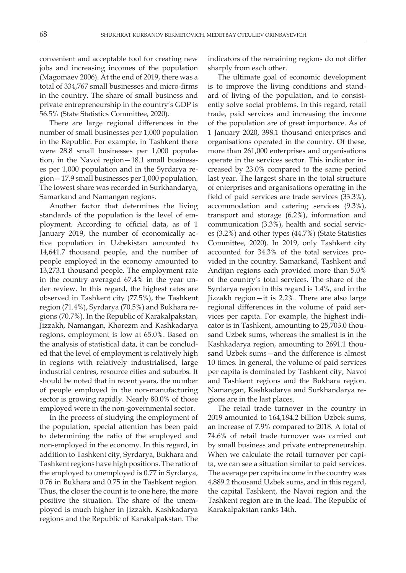convenient and acceptable tool for creating new jobs and increasing incomes of the population (Magomaev 2006). At the end of 2019, there was a total of 334,767 small businesses and micro-firms in the country. The share of small business and private entrepreneurship in the country's GDP is 56.5% (State Statistics Committee, 2020).

There are large regional differences in the number of small businesses per 1,000 population in the Republic. For example, in Tashkent there were 28.8 small businesses per 1,000 population, in the Navoi region—18.1 small businesses per 1,000 population and in the Syrdarya region—17.9 small businesses per 1,000 population. The lowest share was recorded in Surkhandarya, Samarkand and Namangan regions.

Another factor that determines the living standards of the population is the level of employment. According to official data, as of 1 January 2019, the number of economically active population in Uzbekistan amounted to 14,641.7 thousand people, and the number of people employed in the economy amounted to 13,273.1 thousand people. The employment rate in the country averaged 67.4% in the year under review. In this regard, the highest rates are observed in Tashkent city (77.5%), the Tashkent region (71.4%), Syrdarya (70.5%) and Bukhara regions (70.7%). In the Republic of Karakalpakstan, Jizzakh, Namangan, Khorezm and Kashkadarya regions, employment is low at 65.0%. Based on the analysis of statistical data, it can be concluded that the level of employment is relatively high in regions with relatively industrialised, large industrial centres, resource cities and suburbs. It should be noted that in recent years, the number of people employed in the non-manufacturing sector is growing rapidly. Nearly 80.0% of those employed were in the non-governmental sector.

In the process of studying the employment of the population, special attention has been paid to determining the ratio of the employed and non-employed in the economy. In this regard, in addition to Tashkent city, Syrdarya, Bukhara and Tashkent regions have high positions. The ratio of the employed to unemployed is 0.77 in Syrdarya, 0.76 in Bukhara and 0.75 in the Tashkent region. Thus, the closer the count is to one here, the more positive the situation. The share of the unemployed is much higher in Jizzakh, Kashkadarya regions and the Republic of Karakalpakstan. The

indicators of the remaining regions do not differ sharply from each other.

The ultimate goal of economic development is to improve the living conditions and standard of living of the population, and to consistently solve social problems. In this regard, retail trade, paid services and increasing the income of the population are of great importance. As of 1 January 2020, 398.1 thousand enterprises and organisations operated in the country. Of these, more than 261,000 enterprises and organisations operate in the services sector. This indicator increased by 23.0% compared to the same period last year. The largest share in the total structure of enterprises and organisations operating in the field of paid services are trade services (33.3%), accommodation and catering services (9.3%), transport and storage (6.2%), information and communication (3.3%), health and social services (3.2%) and other types (44.7%) (State Statistics Committee, 2020). In 2019, only Tashkent city accounted for 34.3% of the total services provided in the country. Samarkand, Tashkent and Andijan regions each provided more than 5.0% of the country's total services. The share of the Syrdarya region in this regard is 1.4%, and in the Jizzakh region—it is 2.2%. There are also large regional differences in the volume of paid services per capita. For example, the highest indicator is in Tashkent, amounting to 25,703.0 thousand Uzbek sums, whereas the smallest is in the Kashkadarya region, amounting to 2691.1 thousand Uzbek sums—and the difference is almost 10 times. In general, the volume of paid services per capita is dominated by Tashkent city, Navoi and Tashkent regions and the Bukhara region. Namangan, Kashkadarya and Surkhandarya regions are in the last places.

The retail trade turnover in the country in 2019 amounted to 164,184.2 billion Uzbek sums, an increase of 7.9% compared to 2018. A total of 74.6% of retail trade turnover was carried out by small business and private entrepreneurship. When we calculate the retail turnover per capita, we can see a situation similar to paid services. The average per capita income in the country was 4,889.2 thousand Uzbek sums, and in this regard, the capital Tashkent, the Navoi region and the Tashkent region are in the lead. The Republic of Karakalpakstan ranks 14th.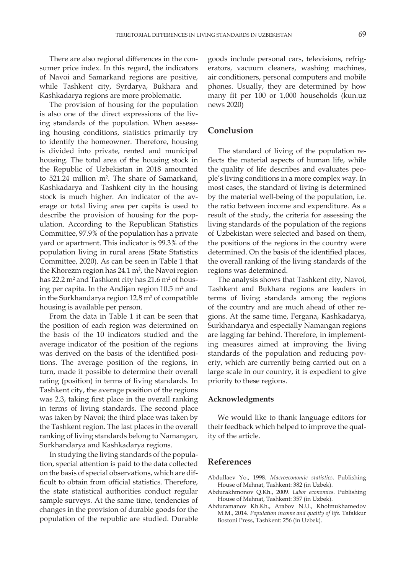There are also regional differences in the consumer price index. In this regard, the indicators of Navoi and Samarkand regions are positive, while Tashkent city, Syrdarya, Bukhara and Kashkadarya regions are more problematic.

The provision of housing for the population is also one of the direct expressions of the living standards of the population. When assessing housing conditions, statistics primarily try to identify the homeowner. Therefore, housing is divided into private, rented and municipal housing. The total area of the housing stock in the Republic of Uzbekistan in 2018 amounted to 521.24 million m<sup>2</sup>. The share of Samarkand, Kashkadarya and Tashkent city in the housing stock is much higher. An indicator of the average or total living area per capita is used to describe the provision of housing for the population. According to the Republican Statistics Committee, 97.9% of the population has a private yard or apartment. This indicator is 99.3% of the population living in rural areas (State Statistics Committee, 2020). As can be seen in Table 1 that the Khorezm region has  $24.1 \text{ m}^2$ , the Navoi region has 22.2 m² and Tashkent city has 21.6 m² of housing per capita. In the Andijan region  $10.5 \text{ m}^2$  and in the Surkhandarya region 12.8 m<sup>2</sup> of compatible housing is available per person.

From the data in Table 1 it can be seen that the position of each region was determined on the basis of the 10 indicators studied and the average indicator of the position of the regions was derived on the basis of the identified positions. The average position of the regions, in turn, made it possible to determine their overall rating (position) in terms of living standards. In Tashkent city, the average position of the regions was 2.3, taking first place in the overall ranking in terms of living standards. The second place was taken by Navoi; the third place was taken by the Tashkent region. The last places in the overall ranking of living standards belong to Namangan, Surkhandarya and Kashkadarya regions.

In studying the living standards of the population, special attention is paid to the data collected on the basis of special observations, which are difficult to obtain from official statistics. Therefore, the state statistical authorities conduct regular sample surveys. At the same time, tendencies of changes in the provision of durable goods for the population of the republic are studied. Durable

goods include personal cars, televisions, refrigerators, vacuum cleaners, washing machines, air conditioners, personal computers and mobile phones. Usually, they are determined by how many fit per 100 or 1,000 households (kun.uz news 2020)

# **Conclusion**

The standard of living of the population reflects the material aspects of human life, while the quality of life describes and evaluates people's living conditions in a more complex way. In most cases, the standard of living is determined by the material well-being of the population, i.e. the ratio between income and expenditure. As a result of the study, the criteria for assessing the living standards of the population of the regions of Uzbekistan were selected and based on them, the positions of the regions in the country were determined. On the basis of the identified places, the overall ranking of the living standards of the regions was determined.

The analysis shows that Tashkent city, Navoi, Tashkent and Bukhara regions are leaders in terms of living standards among the regions of the country and are much ahead of other regions. At the same time, Fergana, Kashkadarya, Surkhandarya and especially Namangan regions are lagging far behind. Therefore, in implementing measures aimed at improving the living standards of the population and reducing poverty, which are currently being carried out on a large scale in our country, it is expedient to give priority to these regions.

#### **Acknowledgments**

We would like to thank language editors for their feedback which helped to improve the quality of the article.

### **References**

- Abdullaev Yo., 1998. *Macroeconomic statistics*. Publishing House of Mehnat, Tashkent: 382 (in Uzbek).
- Abdurakhmonov Q.Kh., 2009. *Labor economics*. Publishing House of Mehnat, Tashkent: 357 (in Uzbek).
- Abduramanov Kh.Kh., Arabov N.U., Kholmukhamedov M.M., 2014. *Population income and quality of life*. Tafakkur Bostoni Press, Tashkent: 256 (in Uzbek).